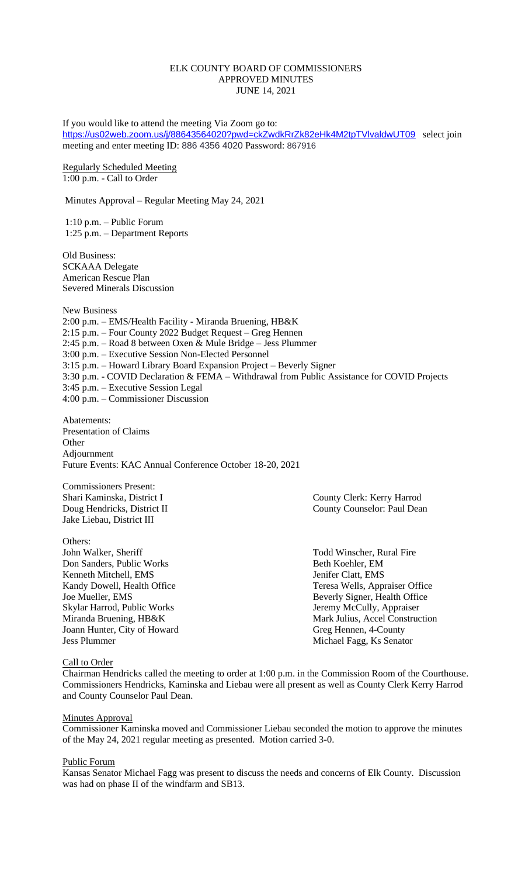#### ELK COUNTY BOARD OF COMMISSIONERS APPROVED MINUTES JUNE 14, 2021

If you would like to attend the meeting Via Zoom go to: <https://us02web.zoom.us/j/88643564020?pwd=ckZwdkRrZk82eHk4M2tpTVlvaldwUT09> select join meeting and enter meeting ID: 886 4356 4020 Password: 867916

Regularly Scheduled Meeting 1:00 p.m. - Call to Order

Minutes Approval – Regular Meeting May 24, 2021

1:10 p.m. – Public Forum 1:25 p.m. – Department Reports

Old Business: SCKAAA Delegate American Rescue Plan Severed Minerals Discussion

New Business 2:00 p.m. – EMS/Health Facility - Miranda Bruening, HB&K 2:15 p.m. – Four County 2022 Budget Request – Greg Hennen 2:45 p.m. – Road 8 between Oxen & Mule Bridge – Jess Plummer 3:00 p.m. – Executive Session Non-Elected Personnel 3:15 p.m. – Howard Library Board Expansion Project – Beverly Signer 3:30 p.m. - COVID Declaration & FEMA – Withdrawal from Public Assistance for COVID Projects 3:45 p.m. – Executive Session Legal 4:00 p.m. – Commissioner Discussion

Abatements: Presentation of Claims **Other** Adjournment Future Events: KAC Annual Conference October 18-20, 2021

Commissioners Present: Jake Liebau, District III

Others: John Walker, Sheriff Todd Winscher, Rural Fire Don Sanders, Public Works Beth Koehler, EM Kenneth Mitchell, EMS Jenifer Clatt, EMS Skylar Harrod, Public Works Jeremy McCully, Appraiser Joann Hunter, City of Howard Greg Hennen, 4-County Jess Plummer Michael Fagg, Ks Senator

County Clerk: Kerry Harrod Doug Hendricks, District II County Counselor: Paul Dean

Kandy Dowell, Health Office Teresa Wells, Appraiser Office Joe Mueller, EMS Beverly Signer, Health Office Miranda Bruening, HB&K Mark Julius, Accel Construction

## Call to Order

Chairman Hendricks called the meeting to order at 1:00 p.m. in the Commission Room of the Courthouse. Commissioners Hendricks, Kaminska and Liebau were all present as well as County Clerk Kerry Harrod and County Counselor Paul Dean.

#### **Minutes Approval**

Commissioner Kaminska moved and Commissioner Liebau seconded the motion to approve the minutes of the May 24, 2021 regular meeting as presented. Motion carried 3-0.

#### Public Forum

Kansas Senator Michael Fagg was present to discuss the needs and concerns of Elk County. Discussion was had on phase II of the windfarm and SB13.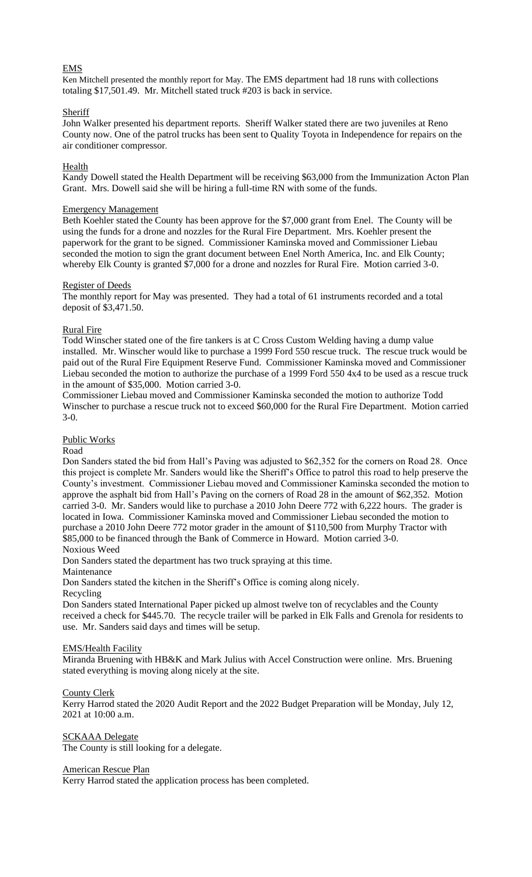## EMS

Ken Mitchell presented the monthly report for May. The EMS department had 18 runs with collections totaling \$17,501.49. Mr. Mitchell stated truck #203 is back in service.

# **Sheriff**

John Walker presented his department reports. Sheriff Walker stated there are two juveniles at Reno County now. One of the patrol trucks has been sent to Quality Toyota in Independence for repairs on the air conditioner compressor.

#### **Health**

Kandy Dowell stated the Health Department will be receiving \$63,000 from the Immunization Acton Plan Grant. Mrs. Dowell said she will be hiring a full-time RN with some of the funds.

#### Emergency Management

Beth Koehler stated the County has been approve for the \$7,000 grant from Enel. The County will be using the funds for a drone and nozzles for the Rural Fire Department. Mrs. Koehler present the paperwork for the grant to be signed. Commissioner Kaminska moved and Commissioner Liebau seconded the motion to sign the grant document between Enel North America, Inc. and Elk County; whereby Elk County is granted \$7,000 for a drone and nozzles for Rural Fire. Motion carried 3-0.

#### Register of Deeds

The monthly report for May was presented. They had a total of 61 instruments recorded and a total deposit of \$3,471.50.

#### Rural Fire

Todd Winscher stated one of the fire tankers is at C Cross Custom Welding having a dump value installed. Mr. Winscher would like to purchase a 1999 Ford 550 rescue truck. The rescue truck would be paid out of the Rural Fire Equipment Reserve Fund. Commissioner Kaminska moved and Commissioner Liebau seconded the motion to authorize the purchase of a 1999 Ford 550 4x4 to be used as a rescue truck in the amount of  $$35,000$ . Motion carried  $3-\overline{0}$ .

Commissioner Liebau moved and Commissioner Kaminska seconded the motion to authorize Todd Winscher to purchase a rescue truck not to exceed \$60,000 for the Rural Fire Department. Motion carried 3-0.

#### Public Works

#### Road

Don Sanders stated the bid from Hall's Paving was adjusted to \$62,352 for the corners on Road 28. Once this project is complete Mr. Sanders would like the Sheriff's Office to patrol this road to help preserve the County's investment. Commissioner Liebau moved and Commissioner Kaminska seconded the motion to approve the asphalt bid from Hall's Paving on the corners of Road 28 in the amount of \$62,352. Motion carried 3-0. Mr. Sanders would like to purchase a 2010 John Deere 772 with 6,222 hours. The grader is located in Iowa. Commissioner Kaminska moved and Commissioner Liebau seconded the motion to purchase a 2010 John Deere 772 motor grader in the amount of \$110,500 from Murphy Tractor with \$85,000 to be financed through the Bank of Commerce in Howard. Motion carried 3-0. Noxious Weed

Don Sanders stated the department has two truck spraying at this time.

Maintenance

Don Sanders stated the kitchen in the Sheriff's Office is coming along nicely.

Recycling

Don Sanders stated International Paper picked up almost twelve ton of recyclables and the County received a check for \$445.70. The recycle trailer will be parked in Elk Falls and Grenola for residents to use. Mr. Sanders said days and times will be setup.

## EMS/Health Facility

Miranda Bruening with HB&K and Mark Julius with Accel Construction were online. Mrs. Bruening stated everything is moving along nicely at the site.

## County Clerk

Kerry Harrod stated the 2020 Audit Report and the 2022 Budget Preparation will be Monday, July 12, 2021 at 10:00 a.m.

SCKAAA Delegate

The County is still looking for a delegate.

American Rescue Plan

Kerry Harrod stated the application process has been completed.